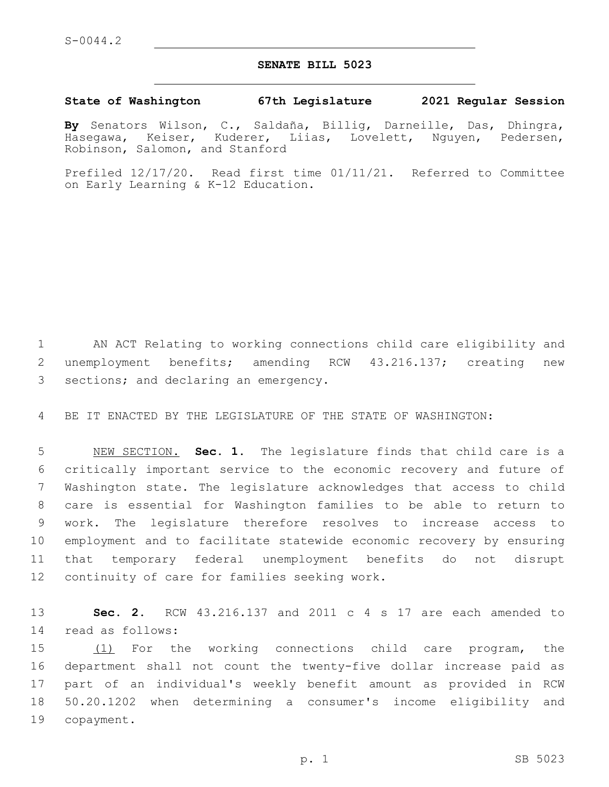## **SENATE BILL 5023**

## **State of Washington 67th Legislature 2021 Regular Session**

**By** Senators Wilson, C., Saldaña, Billig, Darneille, Das, Dhingra, Hasegawa, Keiser, Kuderer, Liias, Lovelett, Nguyen, Pedersen, Robinson, Salomon, and Stanford

Prefiled 12/17/20. Read first time 01/11/21. Referred to Committee on Early Learning & K-12 Education.

1 AN ACT Relating to working connections child care eligibility and 2 unemployment benefits; amending RCW 43.216.137; creating new 3 sections; and declaring an emergency.

4 BE IT ENACTED BY THE LEGISLATURE OF THE STATE OF WASHINGTON:

 NEW SECTION. **Sec. 1.** The legislature finds that child care is a critically important service to the economic recovery and future of Washington state. The legislature acknowledges that access to child care is essential for Washington families to be able to return to work. The legislature therefore resolves to increase access to employment and to facilitate statewide economic recovery by ensuring that temporary federal unemployment benefits do not disrupt continuity of care for families seeking work.

13 **Sec. 2.** RCW 43.216.137 and 2011 c 4 s 17 are each amended to 14 read as follows:

 (1) For the working connections child care program, the department shall not count the twenty-five dollar increase paid as part of an individual's weekly benefit amount as provided in RCW 50.20.1202 when determining a consumer's income eligibility and 19 copayment.